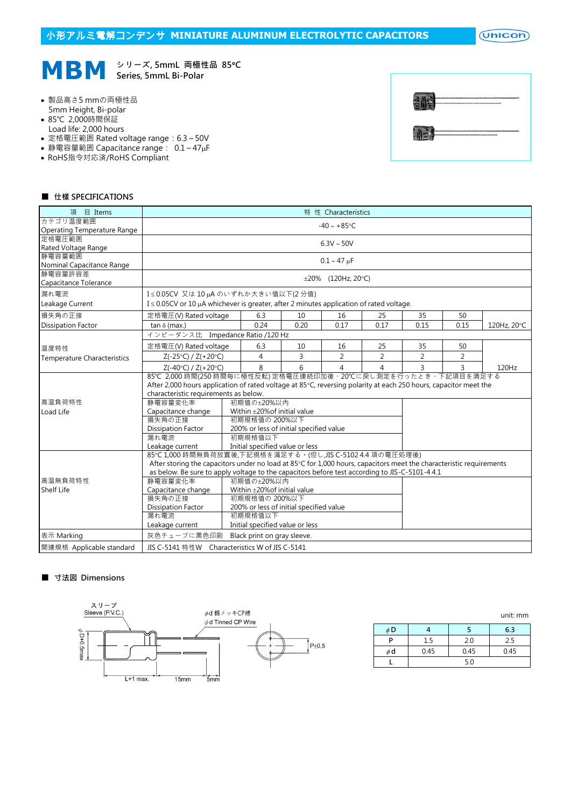$($ Unicon $)$ 



MBM  $^{59-7}$ , 5mmL 両極性品 85°C Series, 5mmL Bi-Polar

- 製品高さ5 mmの両極性品 5mm Height, Bi-polar
- 85℃ 2,000時間保証
- Load life: 2,000 hours
- 定格電圧範囲 Rated voltage range:6.3~50V
- 静電容量範囲 Capacitance range: 0.1~47µF
- RoHS指令対応済/RoHS Compliant

#### ■ 仕樣 SPECIFICATIONS

| 項<br>$\Box$ Items                  | 特 性 Characteristics                                                                                                                                                             |                                         |                                 |      |                          |      |      |                |             |  |  |
|------------------------------------|---------------------------------------------------------------------------------------------------------------------------------------------------------------------------------|-----------------------------------------|---------------------------------|------|--------------------------|------|------|----------------|-------------|--|--|
| カテゴリ温度範囲                           | $-40 \sim +85$ °C                                                                                                                                                               |                                         |                                 |      |                          |      |      |                |             |  |  |
| Operating Temperature Range        |                                                                                                                                                                                 |                                         |                                 |      |                          |      |      |                |             |  |  |
| 定格電圧範囲<br>Rated Voltage Range      | $6.3V \sim 50V$                                                                                                                                                                 |                                         |                                 |      |                          |      |      |                |             |  |  |
| 静電容量範囲                             |                                                                                                                                                                                 |                                         |                                 |      |                          |      |      |                |             |  |  |
| Nominal Capacitance Range          |                                                                                                                                                                                 |                                         |                                 |      | $0.1 - 47 \mu F$         |      |      |                |             |  |  |
| 静電容量許容差                            |                                                                                                                                                                                 |                                         |                                 |      |                          |      |      |                |             |  |  |
| Capacitance Tolerance              |                                                                                                                                                                                 |                                         |                                 |      | $\pm 20\%$ (120Hz, 20°C) |      |      |                |             |  |  |
| 漏れ電流                               | I≤0.05CV 又は10µAのいずれか大きい値以下(2分値)                                                                                                                                                 |                                         |                                 |      |                          |      |      |                |             |  |  |
| Leakage Current                    | $I \le 0.05$ CV or 10 µA whichever is greater, after 2 minutes application of rated voltage.                                                                                    |                                         |                                 |      |                          |      |      |                |             |  |  |
| 損失角の正接                             | 定格電圧(V) Rated voltage                                                                                                                                                           |                                         | 6.3                             | 10   | 16                       | 25   | 35   | 50             |             |  |  |
| <b>Dissipation Factor</b>          | tan $\delta$ (max.)                                                                                                                                                             |                                         | 0.24                            | 0.20 | 0.17                     | 0.17 | 0.15 | 0.15           | 120Hz, 20°C |  |  |
|                                    | インピーダンス比 Impedance Ratio /120 Hz                                                                                                                                                |                                         |                                 |      |                          |      |      |                |             |  |  |
| 温度特性                               | 定格電圧(V) Rated voltage                                                                                                                                                           |                                         | 6.3                             | 10   | 16                       | 25   | 35   | 50             |             |  |  |
| <b>Temperature Characteristics</b> | $Z(-25°C) / Z(+20°C)$                                                                                                                                                           |                                         | $\overline{4}$                  | 3    | $\overline{2}$           | 2    | 2    | $\overline{2}$ |             |  |  |
|                                    | $Z(-40^{\circ}C) / Z(+20^{\circ}C)$                                                                                                                                             |                                         | 8                               | 6    | 4                        | 4    | 3    | 3              | 120Hz       |  |  |
|                                    | 85℃ 2,000 時間(250 時間毎に極性反転) 定格電圧連続印加後、20℃に戻し測定を行ったとき、下記項目を満足する                                                                                                                   |                                         |                                 |      |                          |      |      |                |             |  |  |
|                                    | After 2,000 hours application of rated voltage at 85°C, reversing polarity at each 250 hours, capacitor meet the                                                                |                                         |                                 |      |                          |      |      |                |             |  |  |
|                                    | characteristic requirements as below.                                                                                                                                           |                                         |                                 |      |                          |      |      |                |             |  |  |
| 高温負荷特性                             | 静電容量変化率                                                                                                                                                                         |                                         | 初期值の±20%以内                      |      |                          |      |      |                |             |  |  |
| Load Life                          | Capacitance change                                                                                                                                                              |                                         | Within ±20% of initial value    |      |                          |      |      |                |             |  |  |
|                                    | 損失角の正接                                                                                                                                                                          |                                         | 初期規格值の 200%以下                   |      |                          |      |      |                |             |  |  |
|                                    | <b>Dissipation Factor</b><br>200% or less of initial specified value<br>漏れ電流<br>初期規格值以下                                                                                         |                                         |                                 |      |                          |      |      |                |             |  |  |
|                                    | Initial specified value or less<br>Leakage current                                                                                                                              |                                         |                                 |      |                          |      |      |                |             |  |  |
|                                    |                                                                                                                                                                                 |                                         |                                 |      |                          |      |      |                |             |  |  |
|                                    | 85℃ 1,000 時間無負荷放置後,下記規格を滿足する。(但し,JIS C-5102 4.4 項の電圧処理後)<br>After storing the capacitors under no load at 85°C for 1,000 hours, capacitors meet the characteristic requirements |                                         |                                 |      |                          |      |      |                |             |  |  |
|                                    | as below. Be sure to apply voltage to the capacitors before test according to JIS-C-5101-4 4.1                                                                                  |                                         |                                 |      |                          |      |      |                |             |  |  |
| 高温無負荷特性                            | 静雷容量変化率                                                                                                                                                                         |                                         | 初期值の±20%以内                      |      |                          |      |      |                |             |  |  |
| Shelf Life                         | Capacitance change                                                                                                                                                              |                                         |                                 |      |                          |      |      |                |             |  |  |
|                                    | 損失角の正接                                                                                                                                                                          | 初期規格值の 200%以下                           |                                 |      |                          |      |      |                |             |  |  |
|                                    | <b>Dissipation Factor</b>                                                                                                                                                       | 200% or less of initial specified value |                                 |      |                          |      |      |                |             |  |  |
|                                    | 漏れ電流                                                                                                                                                                            |                                         | 初期規格值以下                         |      |                          |      |      |                |             |  |  |
|                                    | Leakage current                                                                                                                                                                 |                                         | Initial specified value or less |      |                          |      |      |                |             |  |  |
| 表示 Marking                         | 灰色チューブに黒色印刷                                                                                                                                                                     |                                         | Black print on gray sleeve.     |      |                          |      |      |                |             |  |  |
| 関連規格 Applicable standard           | JIS C-5141 特性W Characteristics W of JIS C-5141                                                                                                                                  |                                         |                                 |      |                          |      |      |                |             |  |  |

### ■ 寸法図 Dimensions



|    |      |      | unit: mm |
|----|------|------|----------|
| φD |      |      | 6.3      |
|    | 1.5  | 2.0  | 2.5      |
| φd | 0.45 | 0.45 | 0.45     |
|    |      | 5 Λ  |          |